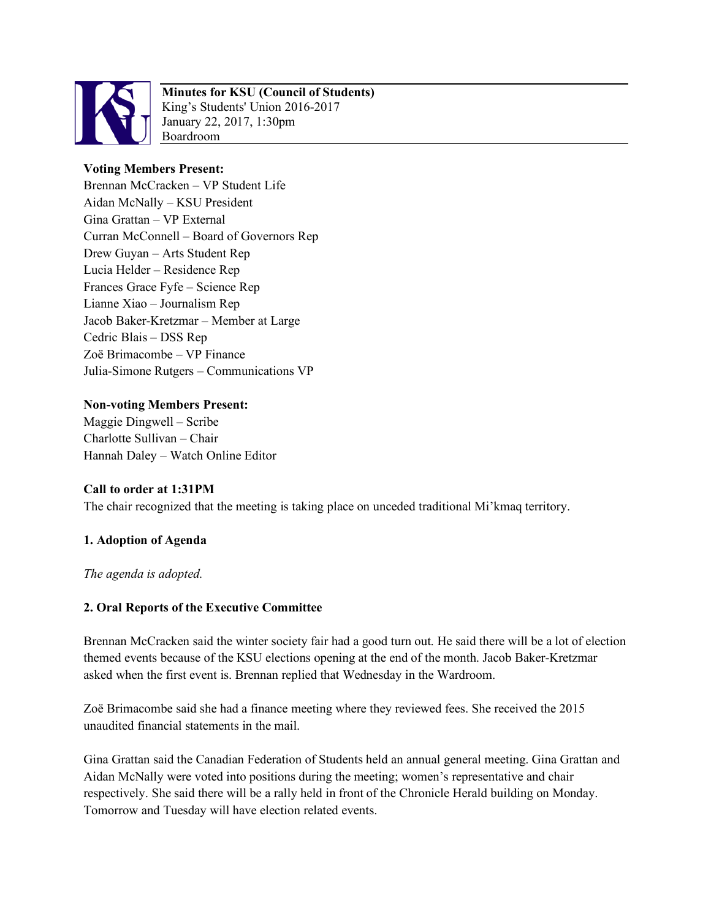

# **Minutes for KSU (Council of Students)**

King's Students' Union 2016-2017 January 22, 2017, 1:30pm Boardroom

## **Voting Members Present:**

Brennan McCracken – VP Student Life Aidan McNally – KSU President Gina Grattan – VP External Curran McConnell – Board of Governors Rep Drew Guyan – Arts Student Rep Lucia Helder – Residence Rep Frances Grace Fyfe – Science Rep Lianne Xiao – Journalism Rep Jacob Baker-Kretzmar – Member at Large Cedric Blais – DSS Rep Zoë Brimacombe – VP Finance Julia-Simone Rutgers – Communications VP

### **Non-voting Members Present:**

Maggie Dingwell – Scribe Charlotte Sullivan – Chair Hannah Daley – Watch Online Editor

### **Call to order at 1:31PM**

The chair recognized that the meeting is taking place on unceded traditional Mi'kmaq territory.

### **1. Adoption of Agenda**

*The agenda is adopted.* 

### **2. Oral Reports of the Executive Committee**

Brennan McCracken said the winter society fair had a good turn out. He said there will be a lot of election themed events because of the KSU elections opening at the end of the month. Jacob Baker-Kretzmar asked when the first event is. Brennan replied that Wednesday in the Wardroom.

Zoë Brimacombe said she had a finance meeting where they reviewed fees. She received the 2015 unaudited financial statements in the mail.

Gina Grattan said the Canadian Federation of Students held an annual general meeting. Gina Grattan and Aidan McNally were voted into positions during the meeting; women's representative and chair respectively. She said there will be a rally held in front of the Chronicle Herald building on Monday. Tomorrow and Tuesday will have election related events.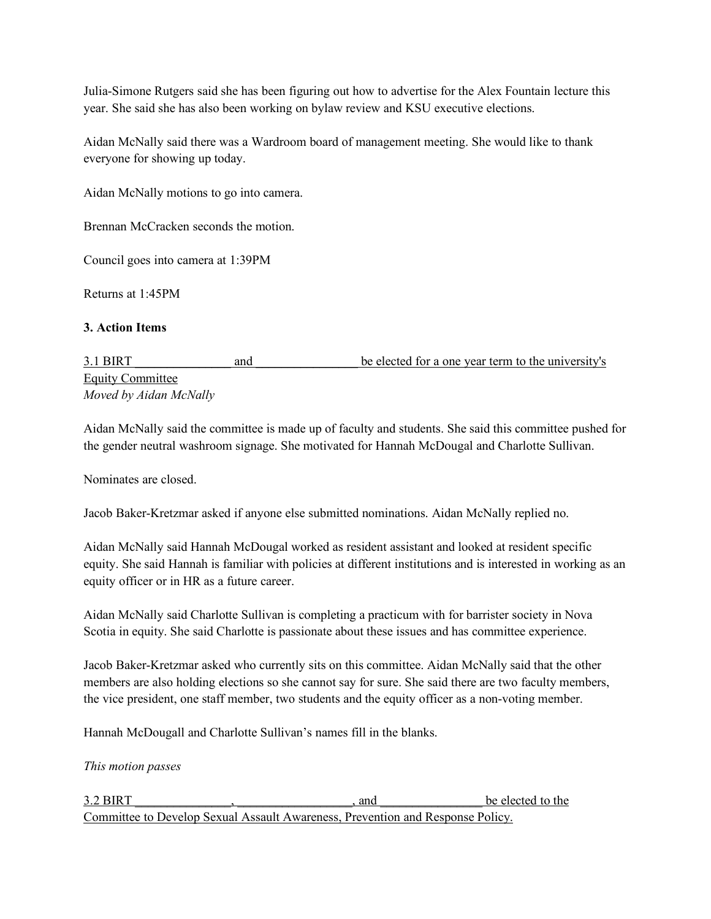Julia-Simone Rutgers said she has been figuring out how to advertise for the Alex Fountain lecture this year. She said she has also been working on bylaw review and KSU executive elections.

Aidan McNally said there was a Wardroom board of management meeting. She would like to thank everyone for showing up today.

Aidan McNally motions to go into camera.

Brennan McCracken seconds the motion.

Council goes into camera at 1:39PM

Returns at 1:45PM

#### **3. Action Items**

3.1 BIRT and and be elected for a one year term to the university's Equity Committee *Moved by Aidan McNally*

Aidan McNally said the committee is made up of faculty and students. She said this committee pushed for the gender neutral washroom signage. She motivated for Hannah McDougal and Charlotte Sullivan.

Nominates are closed.

Jacob Baker-Kretzmar asked if anyone else submitted nominations. Aidan McNally replied no.

Aidan McNally said Hannah McDougal worked as resident assistant and looked at resident specific equity. She said Hannah is familiar with policies at different institutions and is interested in working as an equity officer or in HR as a future career.

Aidan McNally said Charlotte Sullivan is completing a practicum with for barrister society in Nova Scotia in equity. She said Charlotte is passionate about these issues and has committee experience.

Jacob Baker-Kretzmar asked who currently sits on this committee. Aidan McNally said that the other members are also holding elections so she cannot say for sure. She said there are two faculty members, the vice president, one staff member, two students and the equity officer as a non-voting member.

Hannah McDougall and Charlotte Sullivan's names fill in the blanks.

*This motion passes*

3.2 BIRT and the elected to the set of the set of the set of the set of the set of the set of the set of the set of the set of the set of the set of the set of the set of the set of the set of the set of the set of the set Committee to Develop Sexual Assault Awareness, Prevention and Response Policy.